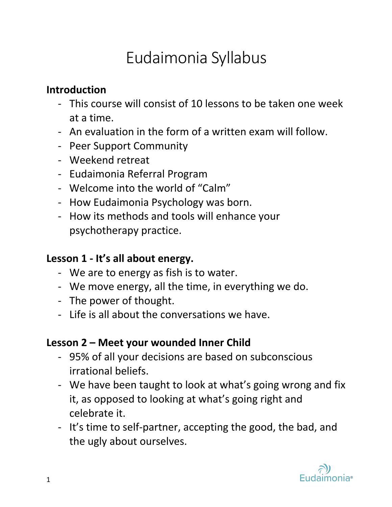# Eudaimonia Syllabus

## **Introduction**

- This course will consist of 10 lessons to be taken one week at a time.
- An evaluation in the form of a written exam will follow.
- Peer Support Community
- Weekend retreat
- Eudaimonia Referral Program
- Welcome into the world of "Calm"
- How Eudaimonia Psychology was born.
- How its methods and tools will enhance your psychotherapy practice.

## **Lesson 1 - It's all about energy.**

- We are to energy as fish is to water.
- We move energy, all the time, in everything we do.
- The power of thought.
- Life is all about the conversations we have.

#### **Lesson 2 – Meet your wounded Inner Child**

- 95% of all your decisions are based on subconscious irrational beliefs.
- We have been taught to look at what's going wrong and fix it, as opposed to looking at what's going right and celebrate it.
- It's time to self-partner, accepting the good, the bad, and the ugly about ourselves.

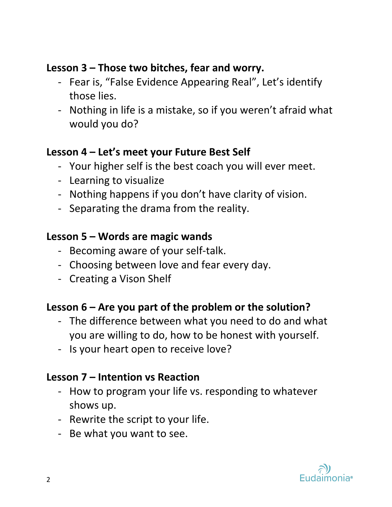### **Lesson 3 – Those two bitches, fear and worry.**

- Fear is, "False Evidence Appearing Real", Let's identify those lies.
- Nothing in life is a mistake, so if you weren't afraid what would you do?

## **Lesson 4 – Let's meet your Future Best Self**

- Your higher self is the best coach you will ever meet.
- Learning to visualize
- Nothing happens if you don't have clarity of vision.
- Separating the drama from the reality.

#### **Lesson 5 – Words are magic wands**

- Becoming aware of your self-talk.
- Choosing between love and fear every day.
- Creating a Vison Shelf

#### **Lesson 6 – Are you part of the problem or the solution?**

- The difference between what you need to do and what you are willing to do, how to be honest with yourself.
- Is your heart open to receive love?

#### **Lesson 7 – Intention vs Reaction**

- How to program your life vs. responding to whatever shows up.
- Rewrite the script to your life.
- Be what you want to see.